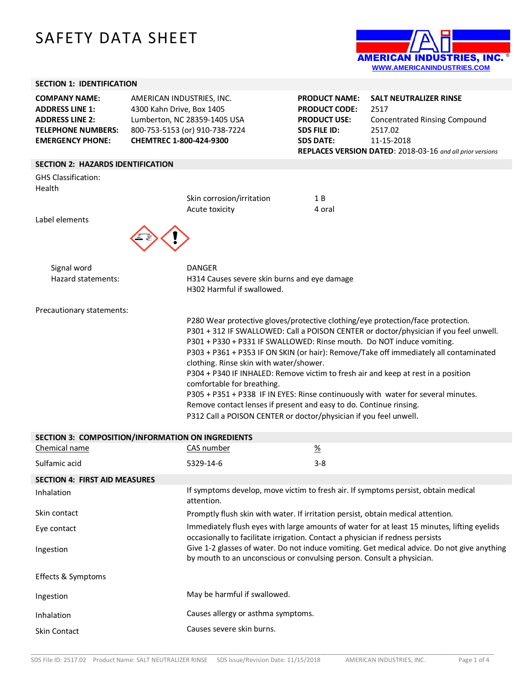## SAFETY DATA SHEET



| <b>SECTION 1: IDENTIFICATION</b>                                                                                                 |                                                                                                                                                                                                                      |                                                                                                                |                                                                                                                                                                                                                                                                                                                                                                                                                                             |
|----------------------------------------------------------------------------------------------------------------------------------|----------------------------------------------------------------------------------------------------------------------------------------------------------------------------------------------------------------------|----------------------------------------------------------------------------------------------------------------|---------------------------------------------------------------------------------------------------------------------------------------------------------------------------------------------------------------------------------------------------------------------------------------------------------------------------------------------------------------------------------------------------------------------------------------------|
| <b>COMPANY NAME:</b><br><b>ADDRESS LINE 1:</b><br><b>ADDRESS LINE 2:</b><br><b>TELEPHONE NUMBERS:</b><br><b>EMERGENCY PHONE:</b> | AMERICAN INDUSTRIES, INC.<br>4300 Kahn Drive, Box 1405<br>Lumberton, NC 28359-1405 USA<br>800-753-5153 (or) 910-738-7224<br>CHEMTREC 1-800-424-9300                                                                  | <b>PRODUCT NAME:</b><br><b>PRODUCT CODE:</b><br><b>PRODUCT USE:</b><br><b>SDS FILE ID:</b><br><b>SDS DATE:</b> | <b>SALT NEUTRALIZER RINSE</b><br>2517<br><b>Concentrated Rinsing Compound</b><br>2517.02<br>11-15-2018<br>REPLACES VERSION DATED: 2018-03-16 and all prior versions                                                                                                                                                                                                                                                                         |
| <b>SECTION 2: HAZARDS IDENTIFICATION</b>                                                                                         |                                                                                                                                                                                                                      |                                                                                                                |                                                                                                                                                                                                                                                                                                                                                                                                                                             |
| <b>GHS Classification:</b><br>Health<br>Label elements                                                                           | Skin corrosion/irritation<br>Acute toxicity                                                                                                                                                                          | 1B<br>4 oral                                                                                                   |                                                                                                                                                                                                                                                                                                                                                                                                                                             |
| Signal word<br>Hazard statements:                                                                                                | <b>DANGER</b><br>H314 Causes severe skin burns and eye damage<br>H302 Harmful if swallowed.                                                                                                                          |                                                                                                                |                                                                                                                                                                                                                                                                                                                                                                                                                                             |
| Precautionary statements:                                                                                                        | P301 + P330 + P331 IF SWALLOWED: Rinse mouth. Do NOT induce vomiting.<br>clothing. Rinse skin with water/shower.<br>comfortable for breathing.<br>Remove contact lenses if present and easy to do. Continue rinsing. |                                                                                                                | P280 Wear protective gloves/protective clothing/eye protection/face protection.<br>P301 + 312 IF SWALLOWED: Call a POISON CENTER or doctor/physician if you feel unwell.<br>P303 + P361 + P353 IF ON SKIN (or hair): Remove/Take off immediately all contaminated<br>P304 + P340 IF INHALED: Remove victim to fresh air and keep at rest in a position<br>P305 + P351 + P338 IF IN EYES: Rinse continuously with water for several minutes. |

P312 Call a POISON CENTER or doctor/physician if you feel unwell.

| SECTION 3: COMPOSITION/INFORMATION ON INGREDIENTS |                                                                                                                                                                               |                 |  |
|---------------------------------------------------|-------------------------------------------------------------------------------------------------------------------------------------------------------------------------------|-----------------|--|
| Chemical name                                     | CAS number                                                                                                                                                                    | $\frac{\%}{\%}$ |  |
| Sulfamic acid                                     | 5329-14-6                                                                                                                                                                     | $3 - 8$         |  |
| <b>SECTION 4: FIRST AID MEASURES</b>              |                                                                                                                                                                               |                 |  |
| Inhalation                                        | If symptoms develop, move victim to fresh air. If symptoms persist, obtain medical<br>attention.                                                                              |                 |  |
| Skin contact                                      | Promptly flush skin with water. If irritation persist, obtain medical attention.                                                                                              |                 |  |
| Eye contact                                       | Immediately flush eyes with large amounts of water for at least 15 minutes, lifting eyelids<br>occasionally to facilitate irrigation. Contact a physician if redness persists |                 |  |
| Ingestion                                         | Give 1-2 glasses of water. Do not induce vomiting. Get medical advice. Do not give anything<br>by mouth to an unconscious or convulsing person. Consult a physician.          |                 |  |
| Effects & Symptoms                                |                                                                                                                                                                               |                 |  |
| Ingestion                                         | May be harmful if swallowed.                                                                                                                                                  |                 |  |
| Inhalation                                        | Causes allergy or asthma symptoms.                                                                                                                                            |                 |  |
| Skin Contact                                      | Causes severe skin burns.                                                                                                                                                     |                 |  |

\_\_\_\_\_\_\_\_\_\_\_\_\_\_\_\_\_\_\_\_\_\_\_\_\_\_\_\_\_\_\_\_\_\_\_\_\_\_\_\_\_\_\_\_\_\_\_\_\_\_\_\_\_\_\_\_\_\_\_\_\_\_\_\_\_\_\_\_\_\_\_\_\_\_\_\_\_\_\_\_\_\_\_\_\_\_\_\_\_\_\_\_\_\_\_\_\_\_\_\_\_\_\_\_\_\_\_\_\_\_\_\_\_\_\_\_\_\_\_\_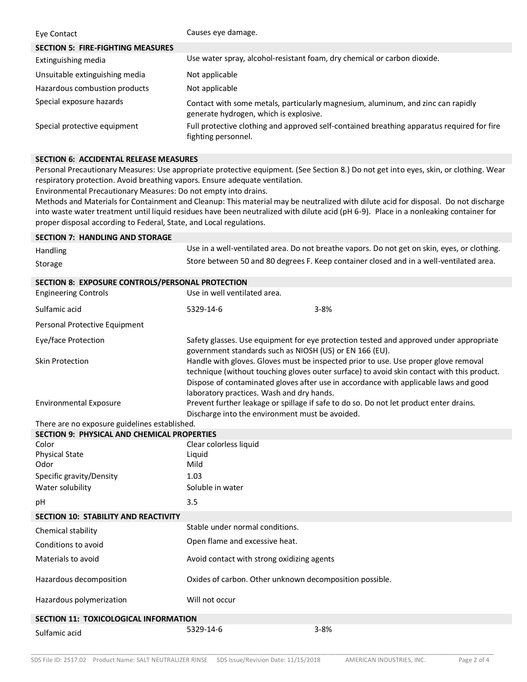| Eye Contact                              | Causes eye damage.                                                                                                         |
|------------------------------------------|----------------------------------------------------------------------------------------------------------------------------|
| <b>SECTION 5: FIRE-FIGHTING MEASURES</b> |                                                                                                                            |
| Extinguishing media                      | Use water spray, alcohol-resistant foam, dry chemical or carbon dioxide.                                                   |
| Unsuitable extinguishing media           | Not applicable                                                                                                             |
| Hazardous combustion products            | Not applicable                                                                                                             |
| Special exposure hazards                 | Contact with some metals, particularly magnesium, aluminum, and zinc can rapidly<br>generate hydrogen, which is explosive. |
| Special protective equipment             | Full protective clothing and approved self-contained breathing apparatus required for fire<br>fighting personnel.          |

## **SECTION 6: ACCIDENTAL RELEASE MEASURES**

Personal Precautionary Measures: Use appropriate protective equipment. (See Section 8.) Do not get into eyes, skin, or clothing. Wear respiratory protection. Avoid breathing vapors. Ensure adequate ventilation.

Environmental Precautionary Measures: Do not empty into drains.

Methods and Materials for Containment and Cleanup: This material may be neutralized with dilute acid for disposal. Do not discharge into waste water treatment until liquid residues have been neutralized with dilute acid (pH 6-9).**7**Place in a nonleaking container for proper disposal according to Federal, State, and Local regulations.

| <b>SECTION 7: HANDLING AND STORAGE</b>             |                                                                                                                                                                                                                                                                                                                        |                                                                                              |  |
|----------------------------------------------------|------------------------------------------------------------------------------------------------------------------------------------------------------------------------------------------------------------------------------------------------------------------------------------------------------------------------|----------------------------------------------------------------------------------------------|--|
| Handling                                           |                                                                                                                                                                                                                                                                                                                        | Use in a well-ventilated area. Do not breathe vapors. Do not get on skin, eyes, or clothing. |  |
| Storage                                            |                                                                                                                                                                                                                                                                                                                        | Store between 50 and 80 degrees F. Keep container closed and in a well-ventilated area.      |  |
| SECTION 8: EXPOSURE CONTROLS/PERSONAL PROTECTION   |                                                                                                                                                                                                                                                                                                                        |                                                                                              |  |
| <b>Engineering Controls</b>                        | Use in well ventilated area.                                                                                                                                                                                                                                                                                           |                                                                                              |  |
| Sulfamic acid                                      | 5329-14-6                                                                                                                                                                                                                                                                                                              | $3 - 8%$                                                                                     |  |
| Personal Protective Equipment                      |                                                                                                                                                                                                                                                                                                                        |                                                                                              |  |
| Eye/face Protection                                | government standards such as NIOSH (US) or EN 166 (EU).                                                                                                                                                                                                                                                                | Safety glasses. Use equipment for eye protection tested and approved under appropriate       |  |
| <b>Skin Protection</b>                             | Handle with gloves. Gloves must be inspected prior to use. Use proper glove removal<br>technique (without touching gloves outer surface) to avoid skin contact with this product.<br>Dispose of contaminated gloves after use in accordance with applicable laws and good<br>laboratory practices. Wash and dry hands. |                                                                                              |  |
| <b>Environmental Exposure</b>                      | Prevent further leakage or spillage if safe to do so. Do not let product enter drains.<br>Discharge into the environment must be avoided.                                                                                                                                                                              |                                                                                              |  |
| There are no exposure guidelines established.      |                                                                                                                                                                                                                                                                                                                        |                                                                                              |  |
| <b>SECTION 9: PHYSICAL AND CHEMICAL PROPERTIES</b> |                                                                                                                                                                                                                                                                                                                        |                                                                                              |  |
| Color                                              | Clear colorless liquid                                                                                                                                                                                                                                                                                                 |                                                                                              |  |
| <b>Physical State</b><br>Odor                      | Liquid<br>Mild                                                                                                                                                                                                                                                                                                         |                                                                                              |  |
| Specific gravity/Density                           | 1.03                                                                                                                                                                                                                                                                                                                   |                                                                                              |  |
| Water solubility                                   | Soluble in water                                                                                                                                                                                                                                                                                                       |                                                                                              |  |
|                                                    |                                                                                                                                                                                                                                                                                                                        |                                                                                              |  |
| рH                                                 | 3.5                                                                                                                                                                                                                                                                                                                    |                                                                                              |  |
| <b>SECTION 10: STABILITY AND REACTIVITY</b>        |                                                                                                                                                                                                                                                                                                                        |                                                                                              |  |
| Chemical stability                                 | Stable under normal conditions.                                                                                                                                                                                                                                                                                        |                                                                                              |  |
| Conditions to avoid                                | Open flame and excessive heat.                                                                                                                                                                                                                                                                                         |                                                                                              |  |
| Materials to avoid                                 | Avoid contact with strong oxidizing agents                                                                                                                                                                                                                                                                             |                                                                                              |  |
| Hazardous decomposition                            | Oxides of carbon. Other unknown decomposition possible.                                                                                                                                                                                                                                                                |                                                                                              |  |
| Hazardous polymerization                           | Will not occur                                                                                                                                                                                                                                                                                                         |                                                                                              |  |
| SECTION 11: TOXICOLOGICAL INFORMATION              |                                                                                                                                                                                                                                                                                                                        |                                                                                              |  |
| Sulfamic acid                                      | 5329-14-6                                                                                                                                                                                                                                                                                                              | $3 - 8%$                                                                                     |  |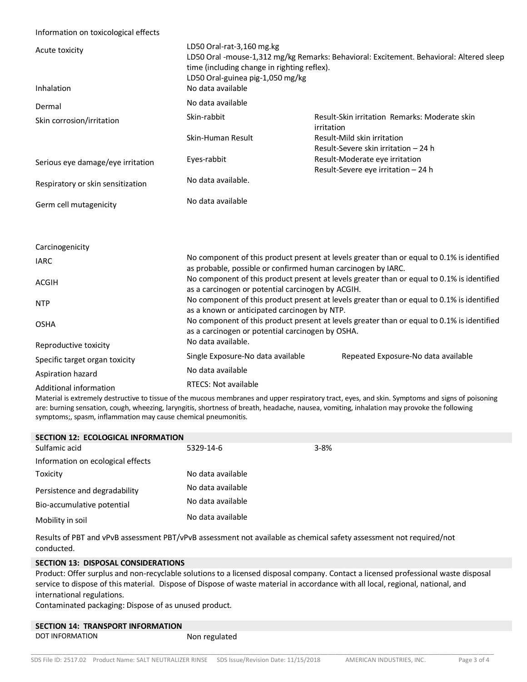## Information on toxicological effects

| Acute toxicity<br>Inhalation      | LD50 Oral-rat-3,160 mg.kg<br>time (including change in righting reflex).<br>LD50 Oral-guinea pig-1,050 mg/kg<br>No data available                          | LD50 Oral -mouse-1,312 mg/kg Remarks: Behavioral: Excitement. Behavioral: Altered sleep |  |
|-----------------------------------|------------------------------------------------------------------------------------------------------------------------------------------------------------|-----------------------------------------------------------------------------------------|--|
| Dermal                            | No data available                                                                                                                                          |                                                                                         |  |
| Skin corrosion/irritation         | Skin-rabbit                                                                                                                                                | Result-Skin irritation Remarks: Moderate skin<br>irritation                             |  |
|                                   | Skin-Human Result                                                                                                                                          | Result-Mild skin irritation<br>Result-Severe skin irritation - 24 h                     |  |
| Serious eye damage/eye irritation | Eyes-rabbit                                                                                                                                                | Result-Moderate eye irritation<br>Result-Severe eye irritation - 24 h                   |  |
| Respiratory or skin sensitization | No data available.                                                                                                                                         |                                                                                         |  |
| Germ cell mutagenicity            | No data available                                                                                                                                          |                                                                                         |  |
|                                   |                                                                                                                                                            |                                                                                         |  |
| Carcinogenicity                   |                                                                                                                                                            |                                                                                         |  |
| <b>IARC</b>                       | No component of this product present at levels greater than or equal to 0.1% is identified<br>as probable, possible or confirmed human carcinogen by IARC. |                                                                                         |  |
| <b>ACGIH</b>                      | No component of this product present at levels greater than or equal to 0.1% is identified<br>as a carcinogen or potential carcinogen by ACGIH.            |                                                                                         |  |
| <b>NTP</b>                        | No component of this product present at levels greater than or equal to 0.1% is identified<br>as a known or anticipated carcinogen by NTP.                 |                                                                                         |  |
| <b>OSHA</b>                       | No component of this product present at levels greater than or equal to 0.1% is identified<br>as a carcinogen or potential carcinogen by OSHA.             |                                                                                         |  |
| Reproductive toxicity             | No data available.                                                                                                                                         |                                                                                         |  |
| Specific target organ toxicity    | Single Exposure-No data available                                                                                                                          | Repeated Exposure-No data available                                                     |  |
| Aspiration hazard                 | No data available                                                                                                                                          |                                                                                         |  |
| Additional information            | RTECS: Not available                                                                                                                                       |                                                                                         |  |

Material is extremely destructive to tissue of the mucous membranes and upper respiratory tract, eyes, and skin. Symptoms and signs of poisoning are: burning sensation, cough, wheezing, laryngitis, shortness of breath, headache, nausea, vomiting, inhalation may provoke the following symptoms;, spasm, inflammation may cause chemical pneumonitis.

| <b>SECTION 12: ECOLOGICAL INFORMATION</b> |                   |          |  |  |
|-------------------------------------------|-------------------|----------|--|--|
| Sulfamic acid                             | 5329-14-6         | $3 - 8%$ |  |  |
| Information on ecological effects         |                   |          |  |  |
| Toxicity                                  | No data available |          |  |  |
| Persistence and degradability             | No data available |          |  |  |
| Bio-accumulative potential                | No data available |          |  |  |
| Mobility in soil                          | No data available |          |  |  |
|                                           |                   |          |  |  |

Results of PBT and vPvB assessment PBT/vPvB assessment not available as chemical safety assessment not required/not conducted.

## **SECTION 13: DISPOSAL CONSIDERATIONS**

Product: Offer surplus and non-recyclable solutions to a licensed disposal company. Contact a licensed professional waste disposal service to dispose of this material. Dispose of Dispose of waste material in accordance with all local, regional, national, and international regulations.

Contaminated packaging: Dispose of as unused product.

| <b>SECTION 14: TRANSPORT INFORMATION</b> |               |
|------------------------------------------|---------------|
| DOT INFORMATION                          | Non regulated |